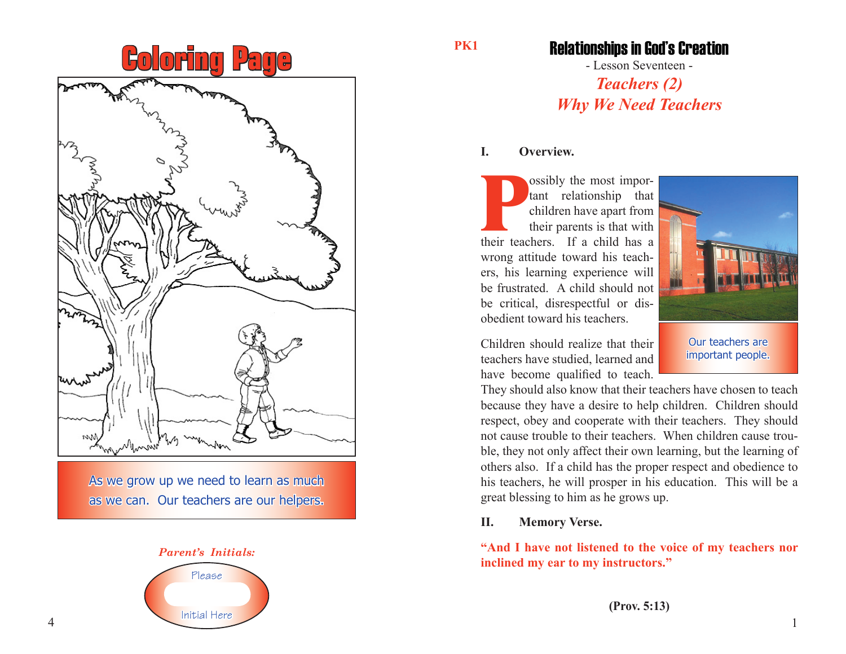# **Coloring Page**



As we grow up we need to learn as much as we can. Our teachers are our helpers.



#### **PK1**

### Relationships in God's Creation

- Lesson Seventeen - *Teachers (2) Why We Need Teachers*

#### **I. Overview.**

**Possibly the most important relationship that**<br>
children have apart from<br>
their parents is that with<br>
their teachers. If a child has a tant relationship that children have apart from their parents is that with wrong attitude toward his teachers, his learning experience will be frustrated. A child should not be critical, disrespectful or disobedient toward his teachers.



important people.

Children should realize that their teachers have studied, learned and have become qualified to teach.

They should also know that their teachers have chosen to teach because they have a desire to help children. Children should respect, obey and cooperate with their teachers. They should not cause trouble to their teachers. When children cause trouble, they not only affect their own learning, but the learning of others also. If a child has the proper respect and obedience to his teachers, he will prosper in his education. This will be a great blessing to him as he grows up.

#### **II. Memory Verse.**

**"And I have not listened to the voice of my teachers nor inclined my ear to my instructors."**

**(Prov. 5:13)**

4